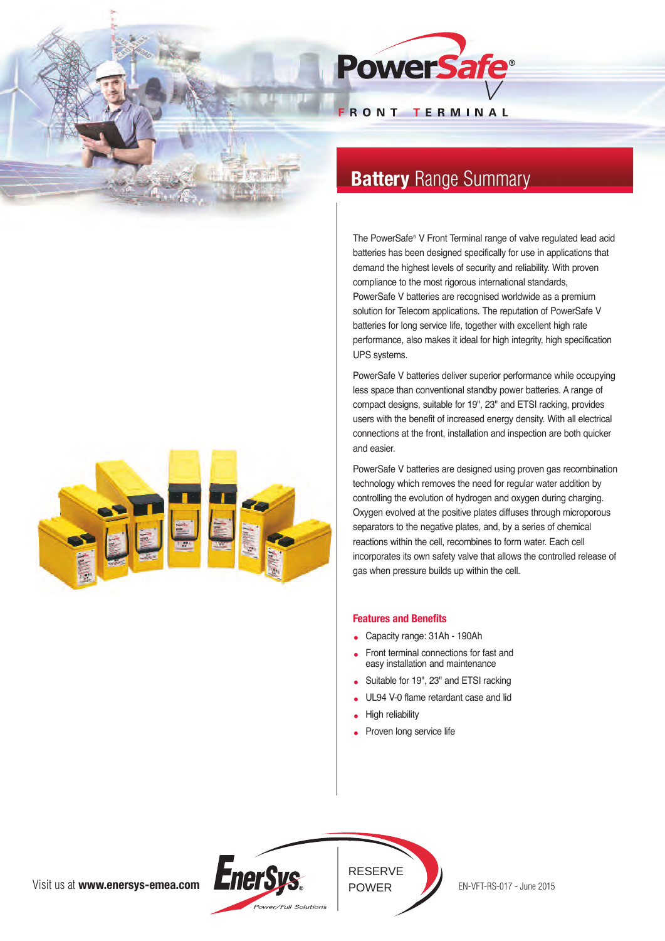



# **Battery** Range Summary

The PowerSafe® V Front Terminal range of valve regulated lead acid batteries has been designed specifically for use in applications that demand the highest levels of security and reliability. With proven compliance to the most rigorous international standards, PowerSafe V batteries are recognised worldwide as a premium solution for Telecom applications. The reputation of PowerSafe V batteries for long service life, together with excellent high rate performance, also makes it ideal for high integrity, high specification UPS systems.

PowerSafe V batteries deliver superior performance while occupying less space than conventional standby power batteries. A range of compact designs, suitable for 19", 23" and ETSI racking, provides users with the benefit of increased energy density. With all electrical connections at the front, installation and inspection are both quicker and easier.

PowerSafe V batteries are designed using proven gas recombination technology which removes the need for regular water addition by controlling the evolution of hydrogen and oxygen during charging. Oxygen evolved at the positive plates diffuses through microporous separators to the negative plates, and, by a series of chemical reactions within the cell, recombines to form water. Each cell incorporates its own safety valve that allows the controlled release of gas when pressure builds up within the cell.

## **Features and Benefits**

- Capacity range: 31Ah 190Ah
- Front terminal connections for fast and easy installation and maintenance
- Suitable for 19", 23" and ETSI racking
- UL94 V-0 flame retardant case and lid
- High reliability
- Proven long service life